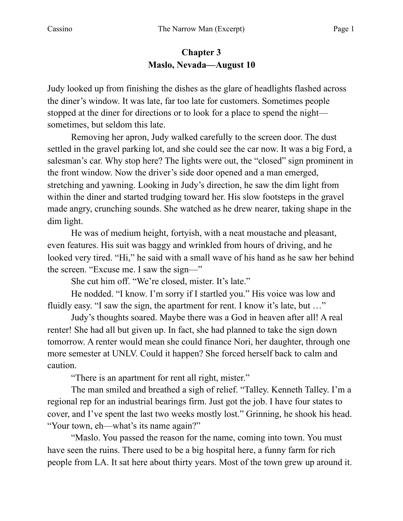## **Chapter 3 Maslo, Nevada—August 10**

Judy looked up from finishing the dishes as the glare of headlights flashed across the diner's window. It was late, far too late for customers. Sometimes people stopped at the diner for directions or to look for a place to spend the night sometimes, but seldom this late.

Removing her apron, Judy walked carefully to the screen door. The dust settled in the gravel parking lot, and she could see the car now. It was a big Ford, a salesman's car. Why stop here? The lights were out, the "closed" sign prominent in the front window. Now the driver's side door opened and a man emerged, stretching and yawning. Looking in Judy's direction, he saw the dim light from within the diner and started trudging toward her. His slow footsteps in the gravel made angry, crunching sounds. She watched as he drew nearer, taking shape in the dim light.

He was of medium height, fortyish, with a neat moustache and pleasant, even features. His suit was baggy and wrinkled from hours of driving, and he looked very tired. "Hi," he said with a small wave of his hand as he saw her behind the screen. "Excuse me. I saw the sign—"

She cut him off. "We're closed, mister. It's late."

He nodded. "I know. I'm sorry if I startled you." His voice was low and fluidly easy. "I saw the sign, the apartment for rent. I know it's late, but …"

Judy's thoughts soared. Maybe there was a God in heaven after all! A real renter! She had all but given up. In fact, she had planned to take the sign down tomorrow. A renter would mean she could finance Nori, her daughter, through one more semester at UNLV. Could it happen? She forced herself back to calm and caution.

"There is an apartment for rent all right, mister."

The man smiled and breathed a sigh of relief. "Talley. Kenneth Talley. I'm a regional rep for an industrial bearings firm. Just got the job. I have four states to cover, and I've spent the last two weeks mostly lost." Grinning, he shook his head. "Your town, eh—what's its name again?"

"Maslo. You passed the reason for the name, coming into town. You must have seen the ruins. There used to be a big hospital here, a funny farm for rich people from LA. It sat here about thirty years. Most of the town grew up around it.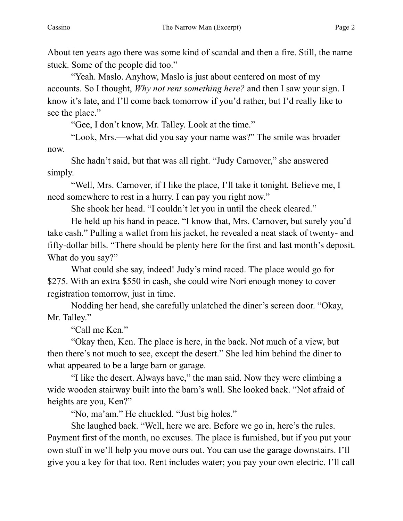About ten years ago there was some kind of scandal and then a fire. Still, the name stuck. Some of the people did too."

"Yeah. Maslo. Anyhow, Maslo is just about centered on most of my accounts. So I thought, *Why not rent something here?* and then I saw your sign. I know it's late, and I'll come back tomorrow if you'd rather, but I'd really like to see the place."

"Gee, I don't know, Mr. Talley. Look at the time."

"Look, Mrs.—what did you say your name was?" The smile was broader now.

She hadn't said, but that was all right. "Judy Carnover," she answered simply.

"Well, Mrs. Carnover, if I like the place, I'll take it tonight. Believe me, I need somewhere to rest in a hurry. I can pay you right now."

She shook her head. "I couldn't let you in until the check cleared."

He held up his hand in peace. "I know that, Mrs. Carnover, but surely you'd take cash." Pulling a wallet from his jacket, he revealed a neat stack of twenty- and fifty-dollar bills. "There should be plenty here for the first and last month's deposit. What do you say?"

What could she say, indeed! Judy's mind raced. The place would go for \$275. With an extra \$550 in cash, she could wire Nori enough money to cover registration tomorrow, just in time.

Nodding her head, she carefully unlatched the diner's screen door. "Okay, Mr. Talley."

"Call me Ken."

"Okay then, Ken. The place is here, in the back. Not much of a view, but then there's not much to see, except the desert." She led him behind the diner to what appeared to be a large barn or garage.

"I like the desert. Always have," the man said. Now they were climbing a wide wooden stairway built into the barn's wall. She looked back. "Not afraid of heights are you, Ken?"

"No, ma'am." He chuckled. "Just big holes."

She laughed back. "Well, here we are. Before we go in, here's the rules. Payment first of the month, no excuses. The place is furnished, but if you put your own stuff in we'll help you move ours out. You can use the garage downstairs. I'll give you a key for that too. Rent includes water; you pay your own electric. I'll call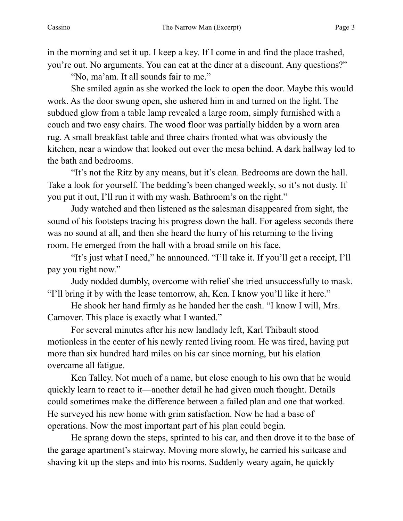in the morning and set it up. I keep a key. If I come in and find the place trashed, you're out. No arguments. You can eat at the diner at a discount. Any questions?"

"No, ma'am. It all sounds fair to me."

She smiled again as she worked the lock to open the door. Maybe this would work. As the door swung open, she ushered him in and turned on the light. The subdued glow from a table lamp revealed a large room, simply furnished with a couch and two easy chairs. The wood floor was partially hidden by a worn area rug. A small breakfast table and three chairs fronted what was obviously the kitchen, near a window that looked out over the mesa behind. A dark hallway led to the bath and bedrooms.

"It's not the Ritz by any means, but it's clean. Bedrooms are down the hall. Take a look for yourself. The bedding's been changed weekly, so it's not dusty. If you put it out, I'll run it with my wash. Bathroom's on the right."

Judy watched and then listened as the salesman disappeared from sight, the sound of his footsteps tracing his progress down the hall. For ageless seconds there was no sound at all, and then she heard the hurry of his returning to the living room. He emerged from the hall with a broad smile on his face.

"It's just what I need," he announced. "I'll take it. If you'll get a receipt, I'll pay you right now."

Judy nodded dumbly, overcome with relief she tried unsuccessfully to mask. "I'll bring it by with the lease tomorrow, ah, Ken. I know you'll like it here."

He shook her hand firmly as he handed her the cash. "I know I will, Mrs. Carnover. This place is exactly what I wanted."

For several minutes after his new landlady left, Karl Thibault stood motionless in the center of his newly rented living room. He was tired, having put more than six hundred hard miles on his car since morning, but his elation overcame all fatigue.

Ken Talley. Not much of a name, but close enough to his own that he would quickly learn to react to it—another detail he had given much thought. Details could sometimes make the difference between a failed plan and one that worked. He surveyed his new home with grim satisfaction. Now he had a base of operations. Now the most important part of his plan could begin.

He sprang down the steps, sprinted to his car, and then drove it to the base of the garage apartment's stairway. Moving more slowly, he carried his suitcase and shaving kit up the steps and into his rooms. Suddenly weary again, he quickly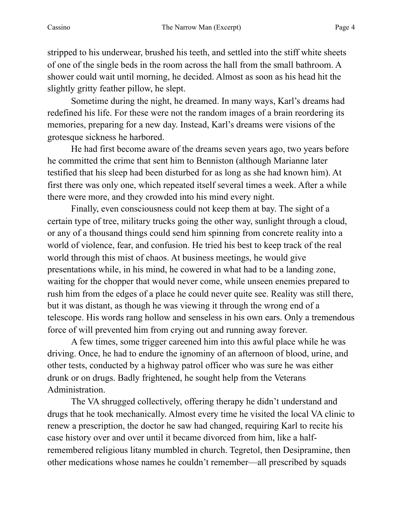stripped to his underwear, brushed his teeth, and settled into the stiff white sheets of one of the single beds in the room across the hall from the small bathroom. A shower could wait until morning, he decided. Almost as soon as his head hit the slightly gritty feather pillow, he slept.

Sometime during the night, he dreamed. In many ways, Karl's dreams had redefined his life. For these were not the random images of a brain reordering its memories, preparing for a new day. Instead, Karl's dreams were visions of the grotesque sickness he harbored.

He had first become aware of the dreams seven years ago, two years before he committed the crime that sent him to Benniston (although Marianne later testified that his sleep had been disturbed for as long as she had known him). At first there was only one, which repeated itself several times a week. After a while there were more, and they crowded into his mind every night.

Finally, even consciousness could not keep them at bay. The sight of a certain type of tree, military trucks going the other way, sunlight through a cloud, or any of a thousand things could send him spinning from concrete reality into a world of violence, fear, and confusion. He tried his best to keep track of the real world through this mist of chaos. At business meetings, he would give presentations while, in his mind, he cowered in what had to be a landing zone, waiting for the chopper that would never come, while unseen enemies prepared to rush him from the edges of a place he could never quite see. Reality was still there, but it was distant, as though he was viewing it through the wrong end of a telescope. His words rang hollow and senseless in his own ears. Only a tremendous force of will prevented him from crying out and running away forever.

A few times, some trigger careened him into this awful place while he was driving. Once, he had to endure the ignominy of an afternoon of blood, urine, and other tests, conducted by a highway patrol officer who was sure he was either drunk or on drugs. Badly frightened, he sought help from the Veterans Administration.

The VA shrugged collectively, offering therapy he didn't understand and drugs that he took mechanically. Almost every time he visited the local VA clinic to renew a prescription, the doctor he saw had changed, requiring Karl to recite his case history over and over until it became divorced from him, like a halfremembered religious litany mumbled in church. Tegretol, then Desipramine, then other medications whose names he couldn't remember—all prescribed by squads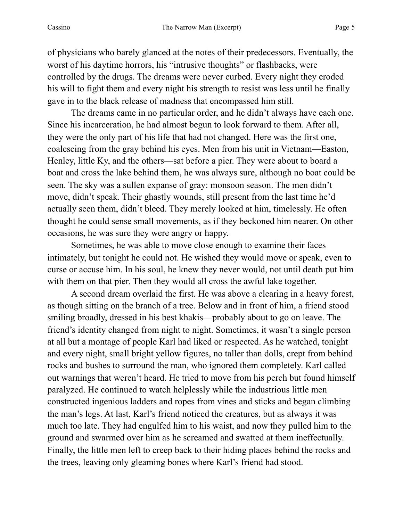of physicians who barely glanced at the notes of their predecessors. Eventually, the worst of his daytime horrors, his "intrusive thoughts" or flashbacks, were controlled by the drugs. The dreams were never curbed. Every night they eroded his will to fight them and every night his strength to resist was less until he finally gave in to the black release of madness that encompassed him still.

The dreams came in no particular order, and he didn't always have each one. Since his incarceration, he had almost begun to look forward to them. After all, they were the only part of his life that had not changed. Here was the first one, coalescing from the gray behind his eyes. Men from his unit in Vietnam—Easton, Henley, little Ky, and the others—sat before a pier. They were about to board a boat and cross the lake behind them, he was always sure, although no boat could be seen. The sky was a sullen expanse of gray: monsoon season. The men didn't move, didn't speak. Their ghastly wounds, still present from the last time he'd actually seen them, didn't bleed. They merely looked at him, timelessly. He often thought he could sense small movements, as if they beckoned him nearer. On other occasions, he was sure they were angry or happy.

Sometimes, he was able to move close enough to examine their faces intimately, but tonight he could not. He wished they would move or speak, even to curse or accuse him. In his soul, he knew they never would, not until death put him with them on that pier. Then they would all cross the awful lake together.

A second dream overlaid the first. He was above a clearing in a heavy forest, as though sitting on the branch of a tree. Below and in front of him, a friend stood smiling broadly, dressed in his best khakis—probably about to go on leave. The friend's identity changed from night to night. Sometimes, it wasn't a single person at all but a montage of people Karl had liked or respected. As he watched, tonight and every night, small bright yellow figures, no taller than dolls, crept from behind rocks and bushes to surround the man, who ignored them completely. Karl called out warnings that weren't heard. He tried to move from his perch but found himself paralyzed. He continued to watch helplessly while the industrious little men constructed ingenious ladders and ropes from vines and sticks and began climbing the man's legs. At last, Karl's friend noticed the creatures, but as always it was much too late. They had engulfed him to his waist, and now they pulled him to the ground and swarmed over him as he screamed and swatted at them ineffectually. Finally, the little men left to creep back to their hiding places behind the rocks and the trees, leaving only gleaming bones where Karl's friend had stood.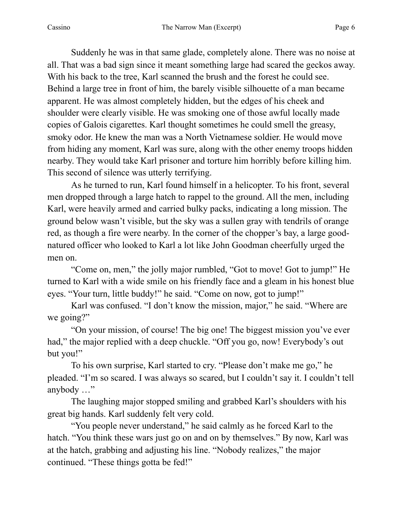Suddenly he was in that same glade, completely alone. There was no noise at all. That was a bad sign since it meant something large had scared the geckos away. With his back to the tree, Karl scanned the brush and the forest he could see. Behind a large tree in front of him, the barely visible silhouette of a man became apparent. He was almost completely hidden, but the edges of his cheek and shoulder were clearly visible. He was smoking one of those awful locally made copies of Galois cigarettes. Karl thought sometimes he could smell the greasy, smoky odor. He knew the man was a North Vietnamese soldier. He would move from hiding any moment, Karl was sure, along with the other enemy troops hidden nearby. They would take Karl prisoner and torture him horribly before killing him. This second of silence was utterly terrifying.

As he turned to run, Karl found himself in a helicopter. To his front, several men dropped through a large hatch to rappel to the ground. All the men, including Karl, were heavily armed and carried bulky packs, indicating a long mission. The ground below wasn't visible, but the sky was a sullen gray with tendrils of orange red, as though a fire were nearby. In the corner of the chopper's bay, a large goodnatured officer who looked to Karl a lot like John Goodman cheerfully urged the men on.

"Come on, men," the jolly major rumbled, "Got to move! Got to jump!" He turned to Karl with a wide smile on his friendly face and a gleam in his honest blue eyes. "Your turn, little buddy!" he said. "Come on now, got to jump!"

Karl was confused. "I don't know the mission, major," he said. "Where are we going?"

"On your mission, of course! The big one! The biggest mission you've ever had," the major replied with a deep chuckle. "Off you go, now! Everybody's out but you!"

To his own surprise, Karl started to cry. "Please don't make me go," he pleaded. "I'm so scared. I was always so scared, but I couldn't say it. I couldn't tell anybody …"

The laughing major stopped smiling and grabbed Karl's shoulders with his great big hands. Karl suddenly felt very cold.

"You people never understand," he said calmly as he forced Karl to the hatch. "You think these wars just go on and on by themselves." By now, Karl was at the hatch, grabbing and adjusting his line. "Nobody realizes," the major continued. "These things gotta be fed!"